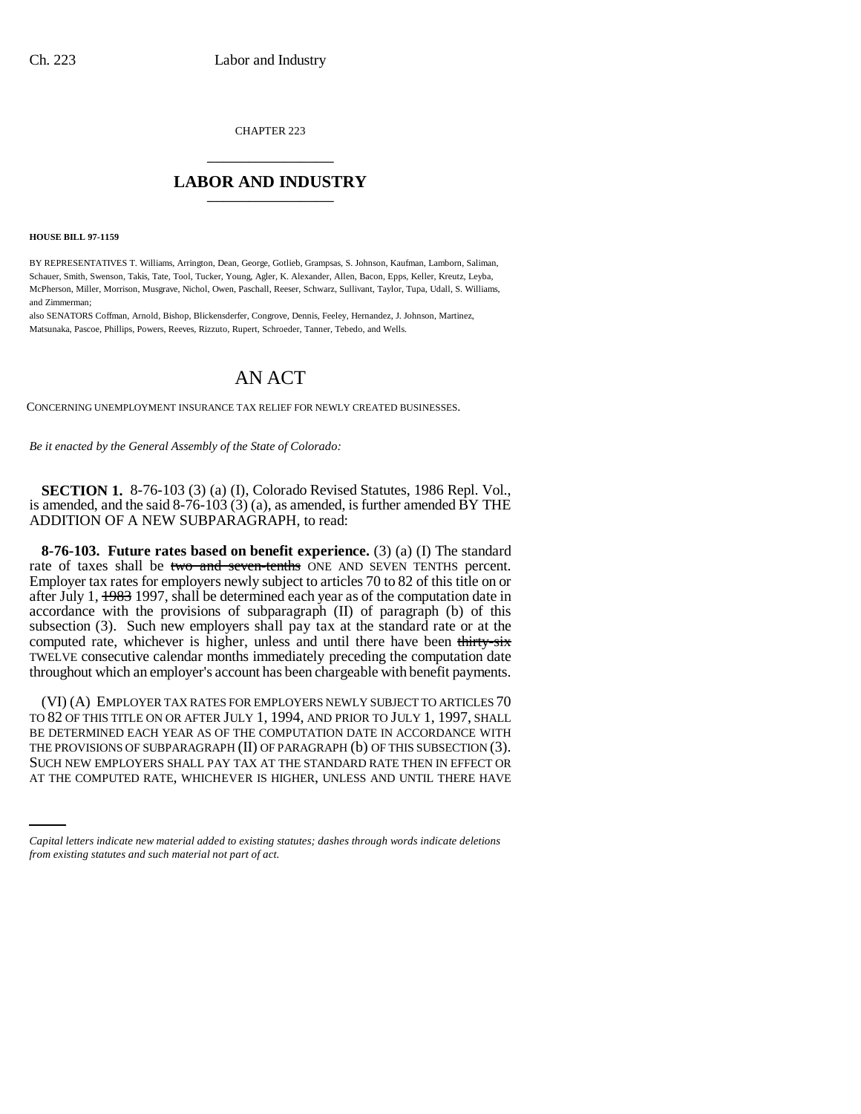CHAPTER 223 \_\_\_\_\_\_\_\_\_\_\_\_\_\_\_

## **LABOR AND INDUSTRY** \_\_\_\_\_\_\_\_\_\_\_\_\_\_\_

**HOUSE BILL 97-1159**

BY REPRESENTATIVES T. Williams, Arrington, Dean, George, Gotlieb, Grampsas, S. Johnson, Kaufman, Lamborn, Saliman, Schauer, Smith, Swenson, Takis, Tate, Tool, Tucker, Young, Agler, K. Alexander, Allen, Bacon, Epps, Keller, Kreutz, Leyba, McPherson, Miller, Morrison, Musgrave, Nichol, Owen, Paschall, Reeser, Schwarz, Sullivant, Taylor, Tupa, Udall, S. Williams, and Zimmerman;

also SENATORS Coffman, Arnold, Bishop, Blickensderfer, Congrove, Dennis, Feeley, Hernandez, J. Johnson, Martinez, Matsunaka, Pascoe, Phillips, Powers, Reeves, Rizzuto, Rupert, Schroeder, Tanner, Tebedo, and Wells.

## AN ACT

CONCERNING UNEMPLOYMENT INSURANCE TAX RELIEF FOR NEWLY CREATED BUSINESSES.

*Be it enacted by the General Assembly of the State of Colorado:*

**SECTION 1.** 8-76-103 (3) (a) (I), Colorado Revised Statutes, 1986 Repl. Vol., is amended, and the said  $8-76-103(3)(a)$ , as amended, is further amended  $\overline{BY}$  THE ADDITION OF A NEW SUBPARAGRAPH, to read:

**8-76-103. Future rates based on benefit experience.** (3) (a) (I) The standard rate of taxes shall be two and seven-tenths ONE AND SEVEN TENTHS percent. Employer tax rates for employers newly subject to articles 70 to 82 of this title on or after July 1, 1983 1997, shall be determined each year as of the computation date in accordance with the provisions of subparagraph (II) of paragraph (b) of this subsection (3). Such new employers shall pay tax at the standard rate or at the computed rate, whichever is higher, unless and until there have been thirty-six TWELVE consecutive calendar months immediately preceding the computation date throughout which an employer's account has been chargeable with benefit payments.

THE PROVISIONS OF SUBPARAGRAPH (II) OF PARAGRAPH (b) OF THIS SUBSECTION (3). (VI) (A) EMPLOYER TAX RATES FOR EMPLOYERS NEWLY SUBJECT TO ARTICLES 70 TO 82 OF THIS TITLE ON OR AFTER JULY 1, 1994, AND PRIOR TO JULY 1, 1997, SHALL BE DETERMINED EACH YEAR AS OF THE COMPUTATION DATE IN ACCORDANCE WITH SUCH NEW EMPLOYERS SHALL PAY TAX AT THE STANDARD RATE THEN IN EFFECT OR AT THE COMPUTED RATE, WHICHEVER IS HIGHER, UNLESS AND UNTIL THERE HAVE

*Capital letters indicate new material added to existing statutes; dashes through words indicate deletions from existing statutes and such material not part of act.*